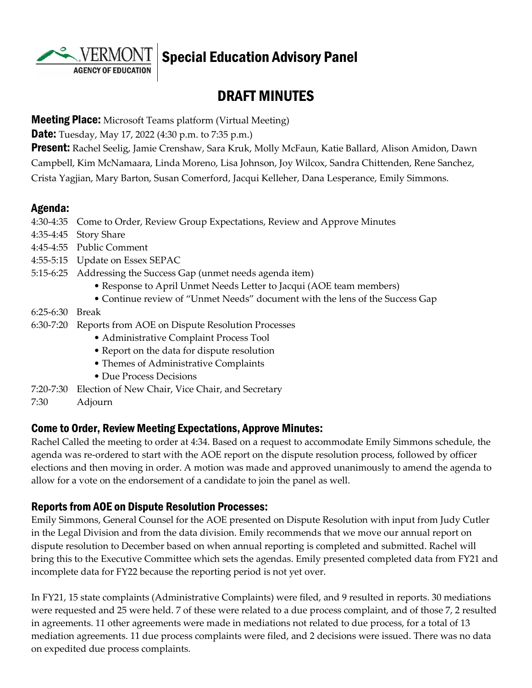**AGENCY OF EDUCATION** 

# Special Education Advisory Panel

# DRAFT MINUTES

#### **Meeting Place:** Microsoft Teams platform (Virtual Meeting)

**Date:** Tuesday, May 17, 2022 (4:30 p.m. to 7:35 p.m.)

**Present:** Rachel Seelig, Jamie Crenshaw, Sara Kruk, Molly McFaun, Katie Ballard, Alison Amidon, Dawn Campbell, Kim McNamaara, Linda Moreno, Lisa Johnson, Joy Wilcox, Sandra Chittenden, Rene Sanchez, Crista Yagjian, Mary Barton, Susan Comerford, Jacqui Kelleher, Dana Lesperance, Emily Simmons.

#### Agenda:

4:30-4:35 Come to Order, Review Group Expectations, Review and Approve Minutes

- 4:35-4:45 Story Share
- 4:45-4:55 Public Comment
- 4:55-5:15 Update on Essex SEPAC
- 5:15-6:25 Addressing the Success Gap (unmet needs agenda item)
	- Response to April Unmet Needs Letter to Jacqui (AOE team members)
	- Continue review of "Unmet Needs" document with the lens of the Success Gap
- 6:25-6:30 Break
- 6:30-7:20 Reports from AOE on Dispute Resolution Processes
	- Administrative Complaint Process Tool
	- Report on the data for dispute resolution
	- Themes of Administrative Complaints
	- Due Process Decisions
- 7:20-7:30 Election of New Chair, Vice Chair, and Secretary
- 7:30 Adjourn

#### Come to Order, Review Meeting Expectations, Approve Minutes:

Rachel Called the meeting to order at 4:34. Based on a request to accommodate Emily Simmons schedule, the agenda was re-ordered to start with the AOE report on the dispute resolution process, followed by officer elections and then moving in order. A motion was made and approved unanimously to amend the agenda to allow for a vote on the endorsement of a candidate to join the panel as well.

#### Reports from AOE on Dispute Resolution Processes:

Emily Simmons, General Counsel for the AOE presented on Dispute Resolution with input from Judy Cutler in the Legal Division and from the data division. Emily recommends that we move our annual report on dispute resolution to December based on when annual reporting is completed and submitted. Rachel will bring this to the Executive Committee which sets the agendas. Emily presented completed data from FY21 and incomplete data for FY22 because the reporting period is not yet over.

In FY21, 15 state complaints (Administrative Complaints) were filed, and 9 resulted in reports. 30 mediations were requested and 25 were held. 7 of these were related to a due process complaint, and of those 7, 2 resulted in agreements. 11 other agreements were made in mediations not related to due process, for a total of 13 mediation agreements. 11 due process complaints were filed, and 2 decisions were issued. There was no data on expedited due process complaints.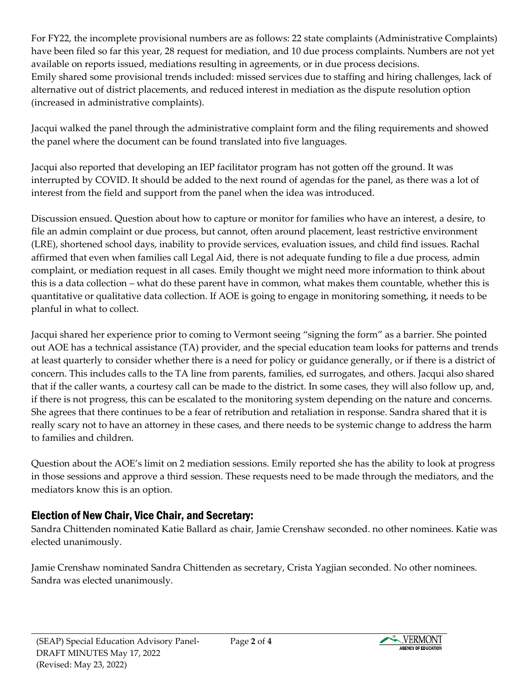For FY22, the incomplete provisional numbers are as follows: 22 state complaints (Administrative Complaints) have been filed so far this year, 28 request for mediation, and 10 due process complaints. Numbers are not yet available on reports issued, mediations resulting in agreements, or in due process decisions. Emily shared some provisional trends included: missed services due to staffing and hiring challenges, lack of alternative out of district placements, and reduced interest in mediation as the dispute resolution option (increased in administrative complaints).

Jacqui walked the panel through the administrative complaint form and the filing requirements and showed the panel where the document can be found translated into five languages.

Jacqui also reported that developing an IEP facilitator program has not gotten off the ground. It was interrupted by COVID. It should be added to the next round of agendas for the panel, as there was a lot of interest from the field and support from the panel when the idea was introduced.

Discussion ensued. Question about how to capture or monitor for families who have an interest, a desire, to file an admin complaint or due process, but cannot, often around placement, least restrictive environment (LRE), shortened school days, inability to provide services, evaluation issues, and child find issues. Rachal affirmed that even when families call Legal Aid, there is not adequate funding to file a due process, admin complaint, or mediation request in all cases. Emily thought we might need more information to think about this is a data collection – what do these parent have in common, what makes them countable, whether this is quantitative or qualitative data collection. If AOE is going to engage in monitoring something, it needs to be planful in what to collect.

Jacqui shared her experience prior to coming to Vermont seeing "signing the form" as a barrier. She pointed out AOE has a technical assistance (TA) provider, and the special education team looks for patterns and trends at least quarterly to consider whether there is a need for policy or guidance generally, or if there is a district of concern. This includes calls to the TA line from parents, families, ed surrogates, and others. Jacqui also shared that if the caller wants, a courtesy call can be made to the district. In some cases, they will also follow up, and, if there is not progress, this can be escalated to the monitoring system depending on the nature and concerns. She agrees that there continues to be a fear of retribution and retaliation in response. Sandra shared that it is really scary not to have an attorney in these cases, and there needs to be systemic change to address the harm to families and children.

Question about the AOE's limit on 2 mediation sessions. Emily reported she has the ability to look at progress in those sessions and approve a third session. These requests need to be made through the mediators, and the mediators know this is an option.

### Election of New Chair, Vice Chair, and Secretary:

Sandra Chittenden nominated Katie Ballard as chair, Jamie Crenshaw seconded. no other nominees. Katie was elected unanimously.

Jamie Crenshaw nominated Sandra Chittenden as secretary, Crista Yagjian seconded. No other nominees. Sandra was elected unanimously.

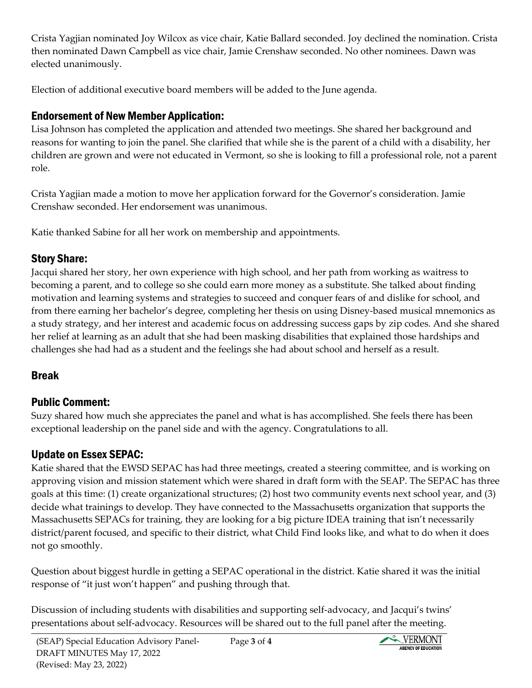Crista Yagjian nominated Joy Wilcox as vice chair, Katie Ballard seconded. Joy declined the nomination. Crista then nominated Dawn Campbell as vice chair, Jamie Crenshaw seconded. No other nominees. Dawn was elected unanimously.

Election of additional executive board members will be added to the June agenda.

## Endorsement of New Member Application:

Lisa Johnson has completed the application and attended two meetings. She shared her background and reasons for wanting to join the panel. She clarified that while she is the parent of a child with a disability, her children are grown and were not educated in Vermont, so she is looking to fill a professional role, not a parent role.

Crista Yagjian made a motion to move her application forward for the Governor's consideration. Jamie Crenshaw seconded. Her endorsement was unanimous.

Katie thanked Sabine for all her work on membership and appointments.

## Story Share:

Jacqui shared her story, her own experience with high school, and her path from working as waitress to becoming a parent, and to college so she could earn more money as a substitute. She talked about finding motivation and learning systems and strategies to succeed and conquer fears of and dislike for school, and from there earning her bachelor's degree, completing her thesis on using Disney-based musical mnemonics as a study strategy, and her interest and academic focus on addressing success gaps by zip codes. And she shared her relief at learning as an adult that she had been masking disabilities that explained those hardships and challenges she had had as a student and the feelings she had about school and herself as a result.

## Break

## Public Comment:

Suzy shared how much she appreciates the panel and what is has accomplished. She feels there has been exceptional leadership on the panel side and with the agency. Congratulations to all.

# Update on Essex SEPAC:

Katie shared that the EWSD SEPAC has had three meetings, created a steering committee, and is working on approving vision and mission statement which were shared in draft form with the SEAP. The SEPAC has three goals at this time: (1) create organizational structures; (2) host two community events next school year, and (3) decide what trainings to develop. They have connected to the Massachusetts organization that supports the Massachusetts SEPACs for training, they are looking for a big picture IDEA training that isn't necessarily district/parent focused, and specific to their district, what Child Find looks like, and what to do when it does not go smoothly.

Question about biggest hurdle in getting a SEPAC operational in the district. Katie shared it was the initial response of "it just won't happen" and pushing through that.

Discussion of including students with disabilities and supporting self-advocacy, and Jacqui's twins' presentations about self-advocacy. Resources will be shared out to the full panel after the meeting.

Page **3** of **4**